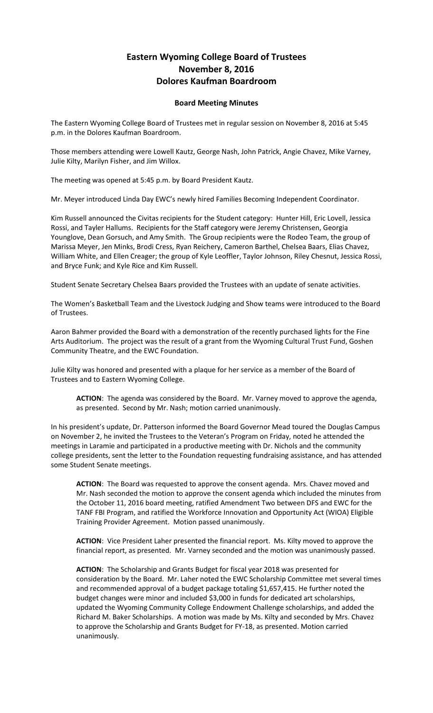## **Eastern Wyoming College Board of Trustees November 8, 2016 Dolores Kaufman Boardroom**

## **Board Meeting Minutes**

The Eastern Wyoming College Board of Trustees met in regular session on November 8, 2016 at 5:45 p.m. in the Dolores Kaufman Boardroom.

Those members attending were Lowell Kautz, George Nash, John Patrick, Angie Chavez, Mike Varney, Julie Kilty, Marilyn Fisher, and Jim Willox.

The meeting was opened at 5:45 p.m. by Board President Kautz.

Mr. Meyer introduced Linda Day EWC's newly hired Families Becoming Independent Coordinator.

Kim Russell announced the Civitas recipients for the Student category: Hunter Hill, Eric Lovell, Jessica Rossi, and Tayler Hallums. Recipients for the Staff category were Jeremy Christensen, Georgia Younglove, Dean Gorsuch, and Amy Smith. The Group recipients were the Rodeo Team, the group of Marissa Meyer, Jen Minks, Brodi Cress, Ryan Reichery, Cameron Barthel, Chelsea Baars, Elias Chavez, William White, and Ellen Creager; the group of Kyle Leoffler, Taylor Johnson, Riley Chesnut, Jessica Rossi, and Bryce Funk; and Kyle Rice and Kim Russell.

Student Senate Secretary Chelsea Baars provided the Trustees with an update of senate activities.

The Women's Basketball Team and the Livestock Judging and Show teams were introduced to the Board of Trustees.

Aaron Bahmer provided the Board with a demonstration of the recently purchased lights for the Fine Arts Auditorium. The project was the result of a grant from the Wyoming Cultural Trust Fund, Goshen Community Theatre, and the EWC Foundation.

Julie Kilty was honored and presented with a plaque for her service as a member of the Board of Trustees and to Eastern Wyoming College.

**ACTION**: The agenda was considered by the Board. Mr. Varney moved to approve the agenda, as presented. Second by Mr. Nash; motion carried unanimously.

In his president's update, Dr. Patterson informed the Board Governor Mead toured the Douglas Campus on November 2, he invited the Trustees to the Veteran's Program on Friday, noted he attended the meetings in Laramie and participated in a productive meeting with Dr. Nichols and the community college presidents, sent the letter to the Foundation requesting fundraising assistance, and has attended some Student Senate meetings.

**ACTION**: The Board was requested to approve the consent agenda. Mrs. Chavez moved and Mr. Nash seconded the motion to approve the consent agenda which included the minutes from the October 11, 2016 board meeting, ratified Amendment Two between DFS and EWC for the TANF FBI Program, and ratified the Workforce Innovation and Opportunity Act (WIOA) Eligible Training Provider Agreement. Motion passed unanimously.

**ACTION**: Vice President Laher presented the financial report. Ms. Kilty moved to approve the financial report, as presented. Mr. Varney seconded and the motion was unanimously passed.

**ACTION**: The Scholarship and Grants Budget for fiscal year 2018 was presented for consideration by the Board. Mr. Laher noted the EWC Scholarship Committee met several times and recommended approval of a budget package totaling \$1,657,415. He further noted the budget changes were minor and included \$3,000 in funds for dedicated art scholarships, updated the Wyoming Community College Endowment Challenge scholarships, and added the Richard M. Baker Scholarships. A motion was made by Ms. Kilty and seconded by Mrs. Chavez to approve the Scholarship and Grants Budget for FY-18, as presented. Motion carried unanimously.